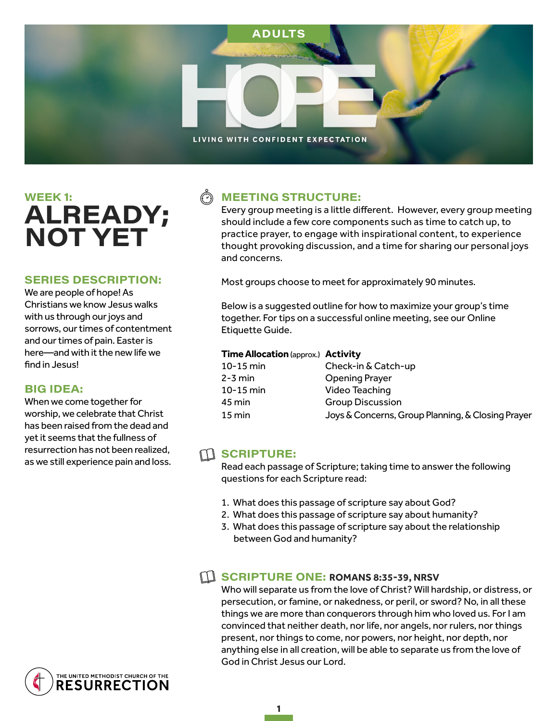

# WEEK 1: ALREADY; **NOT YET**

#### **SERIES DESCRIPTION:**

We are people of hope! As Christians we know Jesus walks with us through our joys and sorrows, our times of contentment and our times of pain. Easter is here—and with it the new life we find in Jesus!

#### **BIG IDEA:**

When we come together for worship, we celebrate that Christ has been raised from the dead and yet it seems that the fullness of resurrection has not been realized, as we still experience pain and loss.

### **MEETING STRUCTURE:**

Every group meeting is a little different. However, every group meeting should include a few core components such as time to catch up, to practice prayer, to engage with inspirational content, to experience thought provoking discussion, and a time for sharing our personal joys and concerns.

Most groups choose to meet for approximately 90 minutes.

Below is a suggested outline for how to maximize your group's time together. For tips on a successful online meeting, see our Online Etiquette Guide.

#### **Time Allocation** (approx.) **Activity**

| 10-15 min | Check-in & Catch-up                               |
|-----------|---------------------------------------------------|
| 2-3 min   | <b>Opening Prayer</b>                             |
| 10-15 min | Video Teaching                                    |
| 45 min    | <b>Group Discussion</b>                           |
| 15 min    | Joys & Concerns, Group Planning, & Closing Prayer |

#### $\mathbf{M}$  SCRIPTURE:

Read each passage of Scripture; taking time to answer the following questions for each Scripture read:

- 1. What does this passage of scripture say about God?
- 2. What does this passage of scripture say about humanity?
- 3. What does this passage of scripture say about the relationship between God and humanity?

#### **EL SCRIPTURE ONE: ROMANS 8:35-39, NRSV**

Who will separate us from the love of Christ? Will hardship, or distress, or persecution, or famine, or nakedness, or peril, or sword? No, in all these things we are more than conquerors through him who loved us. For I am convinced that neither death, nor life, nor angels, nor rulers, nor things present, nor things to come, nor powers, nor height, nor depth, nor anything else in all creation, will be able to separate us from the love of God in Christ Jesus our Lord.